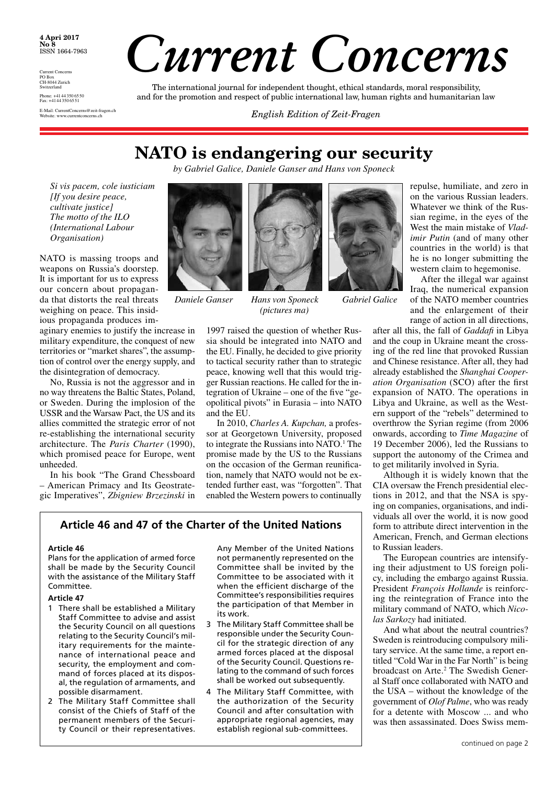**4 Apri 2017 No 8** ISSN 1664-7963

Current Concerns PO Box CH-8044 Zurich **Switzerland** Phone: +4144 350 6550 Fax: +4144 350 6551 E-Mail: CurrentConcerns@zeit-fragen.ch

# *Current Concerns*

The international journal for independent thought, ethical standards, moral responsibility, and for the promotion and respect of public international law, human rights and humanitarian law

**English Edition of Zeit-Fragen** 

### **NATO is endangering our security**

*by Gabriel Galice, Daniele Ganser and Hans von Sponeck*

*Si vis pacem, cole iusticiam [If you desire peace, cultivate justice] The motto of the ILO (International Labour Organisation)*

NATO is massing troops and weapons on Russia's doorstep. It is important for us to express our concern about propaganda that distorts the real threats weighing on peace. This insidious propaganda produces im-

aginary enemies to justify the increase in military expenditure, the conquest of new territories or "market shares", the assumption of control over the energy supply, and the disintegration of democracy.

No, Russia is not the aggressor and in no way threatens the Baltic States, Poland, or Sweden. During the implosion of the USSR and the Warsaw Pact, the US and its allies committed the strategic error of not re-establishing the international security architecture. The *Paris Charter* (1990), which promised peace for Europe, went unheeded.

In his book "The Grand Chessboard – American Primacy and Its Geostrategic Imperatives", *Zbigniew Brzezinski* in



*Daniele Ganser Hans von Sponeck Gabriel Galice* 



*(pictures ma)*



1997 raised the question of whether Russia should be integrated into NATO and the EU. Finally, he decided to give priority to tactical security rather than to strategic peace, knowing well that this would trigger Russian reactions. He called for the integration of Ukraine – one of the five "geopolitical pivots" in Eurasia – into NATO and the EU.

In 2010, *Charles A. Kupchan,* a professor at Georgetown University, proposed to integrate the Russians into NATO.<sup>1</sup> The promise made by the US to the Russians on the occasion of the German reunification, namely that NATO would not be extended further east, was "forgotten". That enabled the Western powers to continually

### **Article 46 and 47 of the Charter of the United Nations**

### **Article 46**

Plans for the application of armed force shall be made by the Security Council with the assistance of the Military Staff Committee.

### **Article 47**

- 1 There shall be established a Military Staff Committee to advise and assist the Security Council on all questions relating to the Security Council's military requirements for the maintenance of international peace and security, the employment and command of forces placed at its disposal, the regulation of armaments, and possible disarmament.
- 2 The Military Staff Committee shall consist of the Chiefs of Staff of the permanent members of the Security Council or their representatives.

Any Member of the United Nations not permanently represented on the Committee shall be invited by the Committee to be associated with it when the efficient discharge of the Committee's responsibilities requires the participation of that Member in its work.

- 3 The Military Staff Committee shall be responsible under the Security Council for the strategic direction of any armed forces placed at the disposal of the Security Council. Questions relating to the command of such forces shall be worked out subsequently.
- 4 The Military Staff Committee, with the authorization of the Security Council and after consultation with appropriate regional agencies, may establish regional sub-committees.

repulse, humiliate, and zero in on the various Russian leaders. Whatever we think of the Russian regime, in the eyes of the West the main mistake of *Vladimir Putin* (and of many other countries in the world) is that he is no longer submitting the western claim to hegemonise.

After the illegal war against Iraq, the numerical expansion of the NATO member countries and the enlargement of their range of action in all directions,

after all this, the fall of *Gaddafi* in Libya and the coup in Ukraine meant the crossing of the red line that provoked Russian and Chinese resistance. After all, they had already established the *Shanghai Cooperation Organisation* (SCO) after the first expansion of NATO. The operations in Libya and Ukraine, as well as the Western support of the "rebels" determined to overthrow the Syrian regime (from 2006 onwards, according to *Time Magazine* of 19 December 2006), led the Russians to support the autonomy of the Crimea and to get militarily involved in Syria.

Although it is widely known that the CIA oversaw the French presidential elections in 2012, and that the NSA is spying on companies, organisations, and individuals all over the world, it is now good form to attribute direct intervention in the American, French, and German elections to Russian leaders.

The European countries are intensifying their adjustment to US foreign policy, including the embargo against Russia. President *François Hollande* is reinforcing the reintegration of France into the military command of NATO, which *Nicolas Sarkozy* had initiated.

And what about the neutral countries? Sweden is reintroducing compulsory military service. At the same time, a report entitled "Cold War in the Far North" is being broadcast on Arte.<sup>2</sup> The Swedish General Staff once collaborated with NATO and the USA – without the knowledge of the government of *Olof Palme*, who was ready for a detente with Moscow ... and who was then assassinated. Does Swiss mem-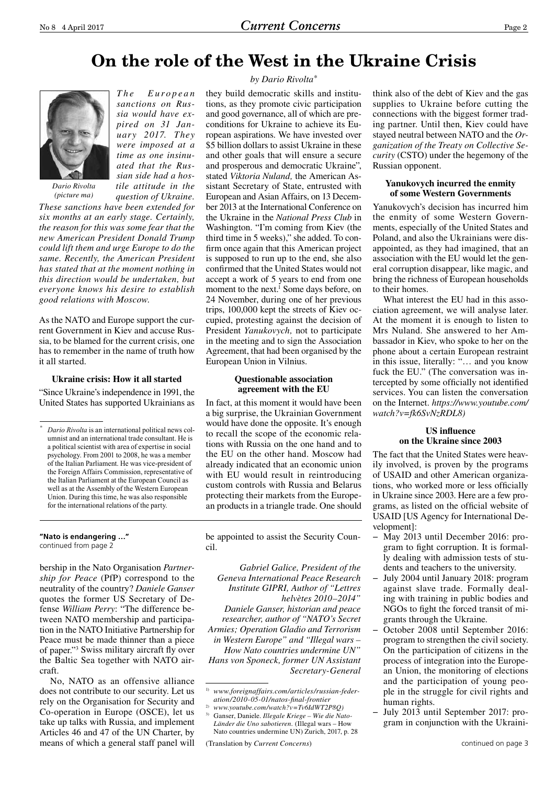# **On the role of the West in the Ukraine Crisis**



*Dario Rivolta (picture ma)*

*These sanctions have been extended for six months at an early stage. Certainly, the reason for this was some fear that the new American President Donald Trump could lift them and urge Europe to do the same. Recently, the American President has stated that at the moment nothing in this direction would be undertaken, but everyone knows his desire to establish good relations with Moscow.*

*T h e E u r o p e a n sanctions on Russia would have expired on 31 January 2017. They were imposed at a time as one insinuated that the Russian side had a hostile attitude in the question of Ukraine.* 

As the NATO and Europe support the current Government in Kiev and accuse Russia, to be blamed for the current crisis, one has to remember in the name of truth how it all started.

### **Ukraine crisis: How it all started**

"Since Ukraine's independence in 1991, the United States has supported Ukrainians as

**"Nato is endangering …"** continued from page 2

bership in the Nato Organisation *Partnership for Peace* (PfP) correspond to the neutrality of the country? *Daniele Ganser* quotes the former US Secretary of Defense *William Perry*: "The difference between NATO membership and participation in the NATO Initiative Partnership for Peace must be made thinner than a piece of paper."3 Swiss military aircraft fly over the Baltic Sea together with NATO aircraft.

No, NATO as an offensive alliance does not contribute to our security. Let us rely on the Organisation for Security and Co-operation in Europe (OSCE), let us take up talks with Russia, and implement Articles 46 and 47 of the UN Charter, by means of which a general staff panel will

### *by Dario Rivolta\**

they build democratic skills and institutions, as they promote civic participation and good governance, all of which are preconditions for Ukraine to achieve its European aspirations. We have invested over \$5 billion dollars to assist Ukraine in these and other goals that will ensure a secure and prosperous and democratic Ukraine", stated *Viktoria Nuland,* the American Assistant Secretary of State, entrusted with European and Asian Affairs, on 13 December 2013 at the International Conference on the Ukraine in the *National Press Club* in Washington. "I'm coming from Kiev (the third time in 5 weeks)," she added. To confirm once again that this American project is supposed to run up to the end, she also confirmed that the United States would not accept a work of 5 years to end from one moment to the next.<sup>1</sup> Some days before, on 24 November, during one of her previous trips, 100,000 kept the streets of Kiev occupied, protesting against the decision of President *Yanukovych,* not to participate in the meeting and to sign the Association Agreement, that had been organised by the European Union in Vilnius.

### **Questionable association agreement with the EU**

In fact, at this moment it would have been a big surprise, the Ukrainian Government would have done the opposite. It's enough to recall the scope of the economic relations with Russia on the one hand and to the EU on the other hand. Moscow had already indicated that an economic union with EU would result in reintroducing custom controls with Russia and Belarus protecting their markets from the European products in a triangle trade. One should

be appointed to assist the Security Council.

*Gabriel Galice, President of the Geneva International Peace Research Institute GIPRI, Author of "Lettres helvètes 2010–2014" Daniele Ganser, historian and peace researcher, author of "NATO's Secret Armies; Operation Gladio and Terrorism in Western Europe" and "Illegal wars – How Nato countries undermine UN" Hans von Sponeck, former UN Assistant Secretary-General* 

2) *www.youtube.com/watch?v=Tv6IdWT2P8Q)*

think also of the debt of Kiev and the gas supplies to Ukraine before cutting the connections with the biggest former trading partner. Until then, Kiev could have stayed neutral between NATO and the *Organization of the Treaty on Collective Security* (CSTO) under the hegemony of the Russian opponent.

### **Yanukovych incurred the enmity of some Western Governments**

Yanukovych's decision has incurred him the enmity of some Western Governments, especially of the United States and Poland, and also the Ukrainians were disappointed, as they had imagined, that an association with the EU would let the general corruption disappear, like magic, and bring the richness of European households to their homes.

What interest the EU had in this association agreement, we will analyse later. At the moment it is enough to listen to Mrs Nuland. She answered to her Ambassador in Kiev, who spoke to her on the phone about a certain European restraint in this issue, literally: "… and you know fuck the EU." (The conversation was intercepted by some officially not identified services. You can listen the conversation on the Internet. *https://www.youtube.com/ watch?v=fk6SvNzRDL8)*

### **US influence on the Ukraine since 2003**

The fact that the United States were heavily involved, is proven by the programs of USAID and other American organizations, who worked more or less officially in Ukraine since 2003. Here are a few programs, as listed on the official website of USAID [US Agency for International Development]:

- − May 2013 until December 2016: program to fight corruption. It is formally dealing with admission tests of students and teachers to the university.
- − July 2004 until January 2018: program against slave trade. Formally dealing with training in public bodies and NGOs to fight the forced transit of migrants through the Ukraine.
- − October 2008 until September 2016: program to strengthen the civil society. On the participation of citizens in the process of integration into the European Union, the monitoring of elections and the participation of young people in the struggle for civil rights and human rights.
- − July 2013 until September 2017: program in conjunction with the Ukraini-

*<sup>\*</sup> Dario Rivolta* is an international political news columnist and an international trade consultant. He is a political scientist with area of expertise in social psychology. From 2001 to 2008, he was a member of the Italian Parliament. He was vice-president of the Foreign Affairs Commission, representative of the Italian Parliament at the European Council as well as at the Assembly of the Western European Union. During this time, he was also responsible for the international relations of the party.

<sup>1)</sup> *www.foreignaffairs.com/articles/russian-federation/2010-05-01/natos-final-frontier*

<sup>3)</sup> Ganser, Daniele. *Illegale Kriege – Wie die Nato-Länder die Uno sabotieren.* (Illegal wars – How Nato countries undermine UN) Zurich, 2017, p. 28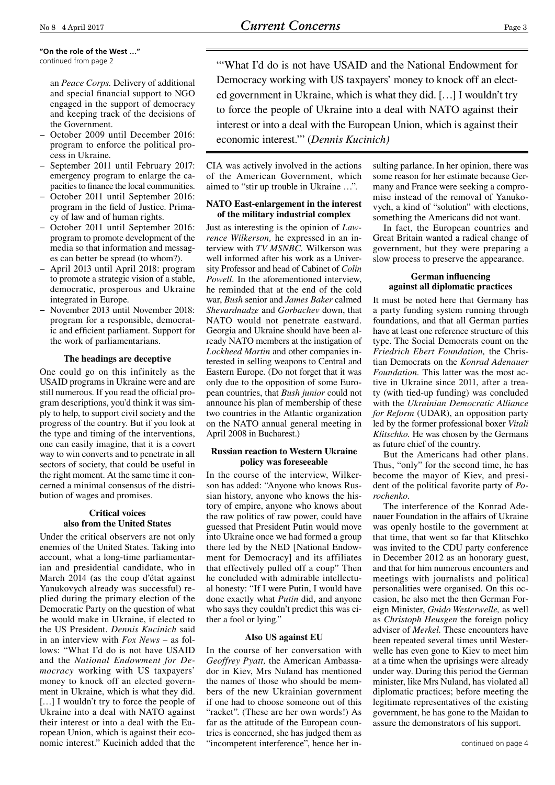**"On the role of the West …"** continued from page 2

> an *Peace Corps.* Delivery of additional and special financial support to NGO engaged in the support of democracy and keeping track of the decisions of the Government.

- − October 2009 until December 2016: program to enforce the political process in Ukraine.
- − September 2011 until February 2017: emergency program to enlarge the capacities to finance the local communities.
- − October 2011 until September 2016: program in the field of Justice. Primacy of law and of human rights.
- − October 2011 until September 2016: program to promote development of the media so that information and messages can better be spread (to whom?).
- − April 2013 until April 2018: program to promote a strategic vision of a stable, democratic, prosperous and Ukraine integrated in Europe.
- − November 2013 until November 2018: program for a responsible, democratic and efficient parliament. Support for the work of parliamentarians.

### **The headings are deceptive**

One could go on this infinitely as the USAID programs in Ukraine were and are still numerous. If you read the official program descriptions, you'd think it was simply to help, to support civil society and the progress of the country. But if you look at the type and timing of the interventions, one can easily imagine, that it is a covert way to win converts and to penetrate in all sectors of society, that could be useful in the right moment. At the same time it concerned a minimal consensus of the distribution of wages and promises.

### **Critical voices also from the United States**

Under the critical observers are not only enemies of the United States. Taking into account, what a long-time parliamentarian and presidential candidate, who in March 2014 (as the coup d'état against Yanukovych already was successful) replied during the primary election of the Democratic Party on the question of what he would make in Ukraine, if elected to the US President. *Dennis Kucinich* said in an interview with *Fox News* – as follows: "What I'd do is not have USAID and the *National Endowment for Democracy* working with US taxpayers' money to knock off an elected government in Ukraine, which is what they did. [...] I wouldn't try to force the people of Ukraine into a deal with NATO against their interest or into a deal with the European Union, which is against their economic interest." Kucinich added that the "'What I'd do is not have USAID and the National Endowment for Democracy working with US taxpayers' money to knock off an elected government in Ukraine, which is what they did. […] I wouldn't try to force the people of Ukraine into a deal with NATO against their interest or into a deal with the European Union, which is against their economic interest.'" (*Dennis Kucinich)*

CIA was actively involved in the actions of the American Government, which aimed to "stir up trouble in Ukraine …".

### **NATO East-enlargement in the interest of the military industrial complex**

Just as interesting is the opinion of *Lawrence Wilkerson,* he expressed in an interview with *TV MSNBC.* Wilkerson was well informed after his work as a University Professor and head of Cabinet of *Colin Powell*. In the aforementioned interview, he reminded that at the end of the cold war, *Bush* senior and *James Baker* calmed *Shevardnadze* and *Gorbachev* down, that NATO would not penetrate eastward. Georgia and Ukraine should have been already NATO members at the instigation of *Lockheed Martin* and other companies interested in selling weapons to Central and Eastern Europe. (Do not forget that it was only due to the opposition of some European countries, that *Bush junior* could not announce his plan of membership of these two countries in the Atlantic organization on the NATO annual general meeting in April 2008 in Bucharest.)

### **Russian reaction to Western Ukraine policy was foreseeable**

In the course of the interview, Wilkerson has added: "Anyone who knows Russian history, anyone who knows the history of empire, anyone who knows about the raw politics of raw power, could have guessed that President Putin would move into Ukraine once we had formed a group there led by the NED [National Endowment for Democracy] and its affiliates that effectively pulled off a coup" Then he concluded with admirable intellectual honesty: "If I were Putin, I would have done exactly what *Putin* did, and anyone who says they couldn't predict this was either a fool or lying."

### **Also US against EU**

In the course of her conversation with *Geoffrey Pyatt,* the American Ambassador in Kiev, Mrs Nuland has mentioned the names of those who should be members of the new Ukrainian government if one had to choose someone out of this "racket". (These are her own words!) As far as the attitude of the European countries is concerned, she has judged them as "incompetent interference", hence her in-

sulting parlance. In her opinion, there was some reason for her estimate because Germany and France were seeking a compromise instead of the removal of Yanukovych, a kind of "solution" with elections, something the Americans did not want.

In fact, the European countries and Great Britain wanted a radical change of government, but they were preparing a slow process to preserve the appearance.

### **German influencing against all diplomatic practices**

It must be noted here that Germany has a party funding system running through foundations, and that all German parties have at least one reference structure of this type. The Social Democrats count on the *Friedrich Ebert Foundation,* the Christian Democrats on the *Konrad Adenauer Foundation.* This latter was the most active in Ukraine since 2011, after a treaty (with tied-up funding) was concluded with the *Ukrainian Democratic Alliance for Reform* (UDAR), an opposition party led by the former professional boxer *Vitali Klitschko.* He was chosen by the Germans as future chief of the country.

But the Americans had other plans. Thus, "only" for the second time, he has become the mayor of Kiev, and president of the political favorite party of *Porochenko.*

The interference of the Konrad Adenauer Foundation in the affairs of Ukraine was openly hostile to the government at that time, that went so far that Klitschko was invited to the CDU party conference in December 2012 as an honorary guest, and that for him numerous encounters and meetings with journalists and political personalities were organised. On this occasion, he also met the then German Foreign Minister, *Guido Westerwelle,* as well as *Christoph Heusgen* the foreign policy adviser of *Merkel.* These encounters have been repeated several times until Westerwelle has even gone to Kiev to meet him at a time when the uprisings were already under way. During this period the German minister, like Mrs Nuland, has violated all diplomatic practices; before meeting the legitimate representatives of the existing government, he has gone to the Maidan to assure the demonstrators of his support.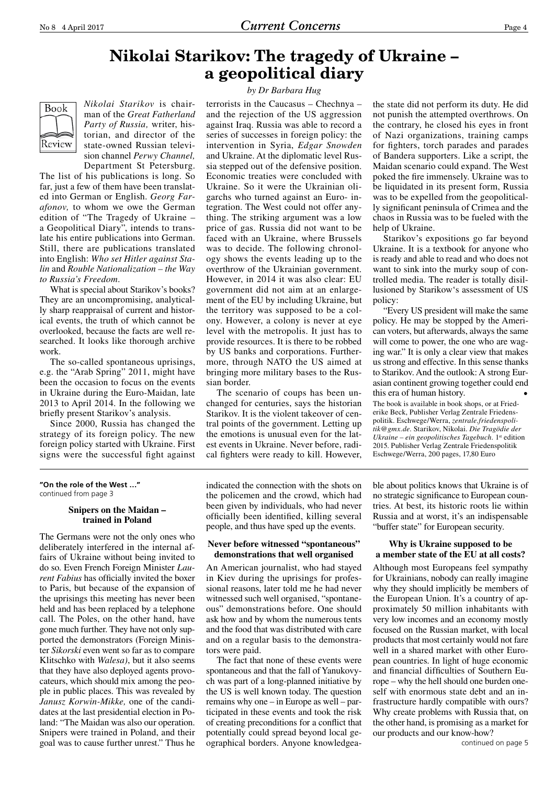### **Nikolai Starikov: The tragedy of Ukraine – a geopolitical diary**

# Book Review

*Nikolai Starikov* is chairman of the *Great Fatherland Party of Russia,* writer, historian, and director of the state-owned Russian television channel *Perwy Channel,*  Department St Petersburg.

The list of his publications is long. So far, just a few of them have been translated into German or English. *Georg Farafonov,* to whom we owe the German edition of "The Tragedy of Ukraine – a Geopolitical Diary", intends to translate his entire publications into German. Still, there are publications translated into English: *Who set Hitler against Stalin* and *Rouble Nationalization – the Way to Russia's Freedom*.

What is special about Starikov's books? They are an uncompromising, analytically sharp reappraisal of current and historical events, the truth of which cannot be overlooked, because the facts are well researched. It looks like thorough archive work.

The so-called spontaneous uprisings, e.g. the "Arab Spring" 2011, might have been the occasion to focus on the events in Ukraine during the Euro-Maidan, late 2013 to April 2014. In the following we briefly present Starikov's analysis.

Since 2000, Russia has changed the strategy of its foreign policy. The new foreign policy started with Ukraine. First signs were the successful fight against

### *by Dr Barbara Hug*

terrorists in the Caucasus – Chechnya – and the rejection of the US aggression against Iraq. Russia was able to record a series of successes in foreign policy: the intervention in Syria, *Edgar Snowden* and Ukraine. At the diplomatic level Russia stepped out of the defensive position. Economic treaties were concluded with Ukraine. So it were the Ukrainian oligarchs who turned against an Euro- integration. The West could not offer anything. The striking argument was a low price of gas. Russia did not want to be faced with an Ukraine, where Brussels was to decide. The following chronology shows the events leading up to the overthrow of the Ukrainian government. However, in 2014 it was also clear: EU government did not aim at an enlargement of the EU by including Ukraine, but the territory was supposed to be a colony. However, a colony is never at eye level with the metropolis. It just has to provide resources. It is there to be robbed by US banks and corporations. Furthermore, through NATO the US aimed at bringing more military bases to the Russian border.

The scenario of coups has been unchanged for centuries, says the historian Starikov. It is the violent takeover of central points of the government. Letting up the emotions is unusual even for the latest events in Ukraine. Never before, radical fighters were ready to kill. However,

the state did not perform its duty. He did not punish the attempted overthrows. On the contrary, he closed his eyes in front of Nazi organizations, training camps for fighters, torch parades and parades of Bandera supporters. Like a script, the Maidan scenario could expand. The West poked the fire immensely. Ukraine was to be liquidated in its present form, Russia was to be expelled from the geopolitically significant peninsula of Crimea and the chaos in Russia was to be fueled with the help of Ukraine.

Starikov's expositions go far beyond Ukraine. It is a textbook for anyone who is ready and able to read and who does not want to sink into the murky soup of controlled media. The reader is totally disillusioned by Starikow's assessment of US policy:

"Every US president will make the same policy. He may be stopped by the American voters, but afterwards, always the same will come to power, the one who are waging war." It is only a clear view that makes us strong and effective. In this sense thanks to Starikov. And the outlook: A strong Eurasian continent growing together could end this era of human history. •

The book is available in book shops, or at Friederike Beck, Publisher Verlag Zentrale Friedenspolitik. Eschwege/Werra, *zentrale.friedenspolitik@gmx.de.* Starikov, Nikolai. *Die Tragödie der Ukraine – ein geopolitisches Tagebuch.* 1<sup>st</sup> edition 2015. Publisher Verlag Zentrale Friedenspolitik Eschwege/Werra, 200 pages, 17,80 Euro

### **"On the role of the West …"** continued from page 3

### **Snipers on the Maidan – trained in Poland**

The Germans were not the only ones who deliberately interfered in the internal affairs of Ukraine without being invited to do so. Even French Foreign Minister *Laurent Fabius* has officially invited the boxer to Paris, but because of the expansion of the uprisings this meeting has never been held and has been replaced by a telephone call. The Poles, on the other hand, have gone much further. They have not only supported the demonstrators (Foreign Minister *Sikorski* even went so far as to compare Klitschko with *Walesa)*, but it also seems that they have also deployed agents provocateurs, which should mix among the people in public places. This was revealed by *Janusz Korwin-Mikke,* one of the candidates at the last presidential election in Poland: "The Maidan was also our operation. Snipers were trained in Poland, and their goal was to cause further unrest." Thus he indicated the connection with the shots on the policemen and the crowd, which had been given by individuals, who had never officially been identified, killing several people, and thus have sped up the events.

### **Never before witnessed "spontaneous" demonstrations that well organised**

An American journalist, who had stayed in Kiev during the uprisings for professional reasons, later told me he had never witnessed such well organised, "spontaneous" demonstrations before. One should ask how and by whom the numerous tents and the food that was distributed with care and on a regular basis to the demonstrators were paid.

The fact that none of these events were spontaneous and that the fall of Yanukovych was part of a long-planned initiative by the US is well known today. The question remains why one – in Europe as well – participated in these events and took the risk of creating preconditions for a conflict that potentially could spread beyond local geographical borders. Anyone knowledgea-

ble about politics knows that Ukraine is of no strategic significance to European countries. At best, its historic roots lie within Russia and at worst, it's an indispensable "buffer state" for European security.

### **Why is Ukraine supposed to be a member state of the EU at all costs?**

Although most Europeans feel sympathy for Ukrainians, nobody can really imagine why they should implicitly be members of the European Union. It's a country of approximately 50 million inhabitants with very low incomes and an economy mostly focused on the Russian market, with local products that most certainly would not fare well in a shared market with other European countries. In light of huge economic and financial difficulties of Southern Europe – why the hell should one burden oneself with enormous state debt and an infrastructure hardly compatible with ours? Why create problems with Russia that, on the other hand, is promising as a market for our products and our know-how?

continued on page 5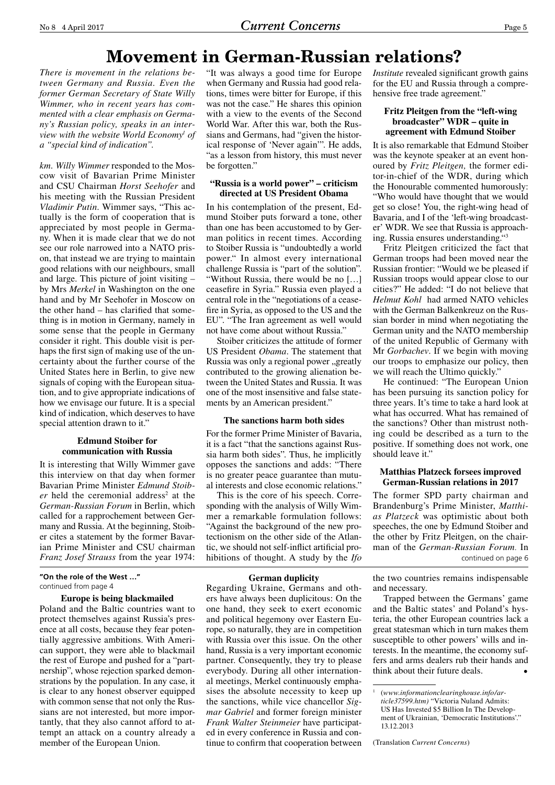### **Movement in German-Russian relations?**

*There is movement in the relations between Germany and Russia. Even the former German Secretary of State Willy Wimmer, who in recent years has commented with a clear emphasis on Germany's Russian policy, speaks in an interview with the website World Economy1 of a "special kind of indication".*

*km. Willy Wimmer* responded to the Moscow visit of Bavarian Prime Minister and CSU Chairman *Horst Seehofer* and his meeting with the Russian President *Vladimir Putin*. Wimmer says, "This actually is the form of cooperation that is appreciated by most people in Germany. When it is made clear that we do not see our role narrowed into a NATO prison, that instead we are trying to maintain good relations with our neighbours, small and large. This picture of joint visiting – by Mrs *Merkel* in Washington on the one hand and by Mr Seehofer in Moscow on the other hand – has clarified that something is in motion in Germany, namely in some sense that the people in Germany consider it right. This double visit is perhaps the first sign of making use of the uncertainty about the further course of the United States here in Berlin, to give new signals of coping with the European situation, and to give appropriate indications of how we envisage our future. It is a special kind of indication, which deserves to have special attention drawn to it."

### **Edmund Stoiber for communication with Russia**

It is interesting that Willy Wimmer gave this interview on that day when former Bavarian Prime Minister *Edmund Stoib*er held the ceremonial address<sup>2</sup> at the *German-Russian Forum* in Berlin, which called for a rapprochement between Germany and Russia. At the beginning, Stoiber cites a statement by the former Bavarian Prime Minister and CSU chairman *Franz Josef Strauss* from the year 1974:

**"On the role of the West …"** continued from page 4

### **Europe is being blackmailed**

Poland and the Baltic countries want to protect themselves against Russia's presence at all costs, because they fear potentially aggressive ambitions. With American support, they were able to blackmail the rest of Europe and pushed for a "partnership", whose rejection sparked demonstrations by the population. In any case, it is clear to any honest observer equipped with common sense that not only the Russians are not interested, but more importantly, that they also cannot afford to attempt an attack on a country already a member of the European Union.

"It was always a good time for Europe when Germany and Russia had good relations, times were bitter for Europe, if this was not the case." He shares this opinion with a view to the events of the Second World War. After this war, both the Russians and Germans, had "given the historical response of 'Never again'". He adds, "as a lesson from history, this must never be forgotten."

### **"Russia is a world power" – criticism directed at US President Obama**

In his contemplation of the present, Edmund Stoiber puts forward a tone, other than one has been accustomed to by German politics in recent times. According to Stoiber Russia is "undoubtedly a world power." In almost every international challenge Russia is "part of the solution". "Without Russia, there would be no […] ceasefire in Syria." Russia even played a central role in the "negotiations of a ceasefire in Syria, as opposed to the US and the EU". "The Iran agreement as well would not have come about without Russia."

Stoiber criticizes the attitude of former US President *Obama*. The statement that Russia was only a regional power "greatly contributed to the growing alienation between the United States and Russia. It was one of the most insensitive and false statements by an American president."

### **The sanctions harm both sides**

For the former Prime Minister of Bavaria, it is a fact "that the sanctions against Russia harm both sides". Thus, he implicitly opposes the sanctions and adds: "There is no greater peace guarantee than mutual interests and close economic relations."

This is the core of his speech. Corresponding with the analysis of Willy Wimmer a remarkable formulation follows: "Against the background of the new protectionism on the other side of the Atlantic, we should not self-inflict artificial prohibitions of thought. A study by the *Ifo* 

### **German duplicity**

Regarding Ukraine, Germans and others have always been duplicitous: On the one hand, they seek to exert economic and political hegemony over Eastern Europe, so naturally, they are in competition with Russia over this issue. On the other hand, Russia is a very important economic partner. Consequently, they try to please everybody. During all other international meetings, Merkel continuously emphasises the absolute necessity to keep up the sanctions, while vice chancellor *Sigmar Gabriel* and former foreign minister *Frank Walter Steinmeier* have participated in every conference in Russia and continue to confirm that cooperation between *Institute* revealed significant growth gains for the EU and Russia through a comprehensive free trade agreement."

### **Fritz Pleitgen from the "left-wing broadcaster" WDR – quite in agreement with Edmund Stoiber**

It is also remarkable that Edmund Stoiber was the keynote speaker at an event honoured by *Fritz Pleitgen,* the former editor-in-chief of the WDR, during which the Honourable commented humorously: "Who would have thought that we would get so close! You, the right-wing head of Bavaria, and I of the 'left-wing broadcaster' WDR. We see that Russia is approaching. Russia ensures understanding."3

Fritz Pleitgen criticized the fact that German troops had been moved near the Russian frontier: "Would we be pleased if Russian troops would appear close to our cities?" He added: "I do not believe that *Helmut Kohl* had armed NATO vehicles with the German Balkenkreuz on the Russian border in mind when negotiating the German unity and the NATO membership of the united Republic of Germany with Mr *Gorbachev*. If we begin with moving our troops to emphasize our policy, then we will reach the Ultimo quickly.'

He continued: "The European Union has been pursuing its sanction policy for three years. It's time to take a hard look at what has occurred. What has remained of the sanctions? Other than mistrust nothing could be described as a turn to the positive. If something does not work, one should leave it."

### **Matthias Platzeck forsees improved German-Russian relations in 2017**

The former SPD party chairman and Brandenburg's Prime Minister, *Matthias Platzeck* was optimistic about both speeches, the one by Edmund Stoiber and the other by Fritz Pleitgen, on the chairman of the *German-Russian Forum.* In continued on page 6

the two countries remains indispensable and necessary.

Trapped between the Germans' game and the Baltic states' and Poland's hysteria, the other European countries lack a great statesman which in turn makes them susceptible to other powers' wills and interests. In the meantime, the economy suffers and arms dealers rub their hands and think about their future deals. •

(Translation *Current Concerns*)

<sup>1</sup> (*www.informationclearinghouse.info/article37599.htm)* "Victoria Nuland Admits: US Has Invested \$5 Billion In The Development of Ukrainian, 'Democratic Institutions'." 13.12.2013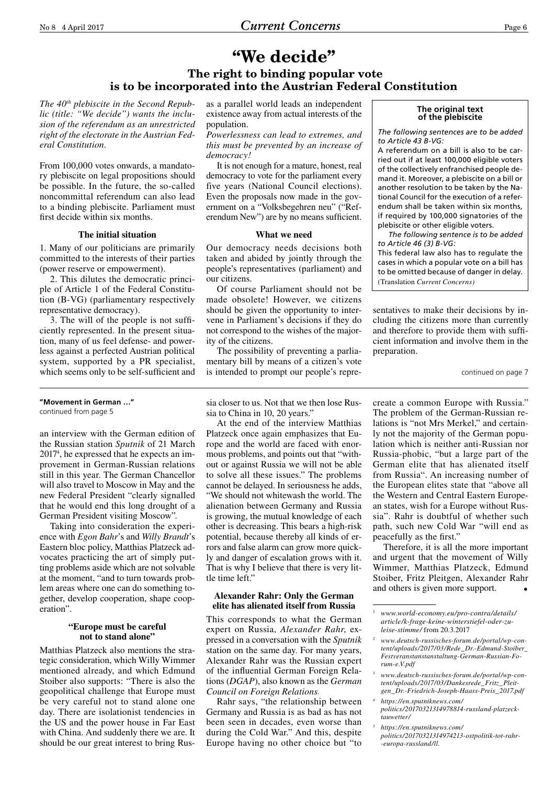### **"We decide"**

### **The right to binding popular vote is to be incorporated into the Austrian Federal Constitution**

*The 40th plebiscite in the Second Republic (title: "We decide") wants the inclusion of the referendum as an unrestricted right of the electorate in the Austrian Federal Constitution.* 

From 100,000 votes onwards, a mandatory plebiscite on legal propositions should be possible. In the future, the so-called noncommittal referendum can also lead to a binding plebiscite. Parliament must first decide within six months.

### **The initial situation**

1. Many of our politicians are primarily committed to the interests of their parties (power reserve or empowerment).

2. This dilutes the democratic principle of Article 1 of the Federal Constitution (B-VG) (parliamentary respectively representative democracy).

3. The will of the people is not sufficiently represented. In the present situation, many of us feel defense- and powerless against a perfected Austrian political system, supported by a PR specialist, which seems only to be self-sufficient and

**"Movement in German …"** continued from page 5

an interview with the German edition of the Russian station *Sputnik* of 21 March 20174 , he expressed that he expects an improvement in German-Russian relations still in this year. The German Chancellor will also travel to Moscow in May and the new Federal President "clearly signalled that he would end this long drought of a German President visiting Moscow".

Taking into consideration the experience with *Egon Bahr*'s and *Willy Brandt*'s Eastern bloc policy, Matthias Platzeck advocates practicing the art of simply putting problems aside which are not solvable at the moment, "and to turn towards problem areas where one can do something together, develop cooperation, shape cooperation".

### **"Europe must be careful not to stand alone"**

Matthias Platzeck also mentions the strategic consideration, which Willy Wimmer mentioned already, and which Edmund Stoiber also supports: "There is also the geopolitical challenge that Europe must be very careful not to stand alone one day. There are isolationist tendencies in the US and the power house in Far East with China. And suddenly there we are. It should be our great interest to bring Rusas a parallel world leads an independent existence away from actual interests of the population.

*Powerlessness can lead to extremes, and this must be prevented by an increase of democracy!* 

It is not enough for a mature, honest, real democracy to vote for the parliament every five years (National Council elections). Even the proposals now made in the government on a "Volksbegehren neu" ("Referendum New") are by no means sufficient.

### **What we need**

Our democracy needs decisions both taken and abided by jointly through the people's representatives (parliament) and our citizens.

Of course Parliament should not be made obsolete! However, we citizens should be given the opportunity to intervene in Parliament's decisions if they do not correspond to the wishes of the majority of the citizens.

The possibility of preventing a parliamentary bill by means of a citizen's vote is intended to prompt our people's repre-

#### **The original text of the plebiscite**

*The following sentences are to be added to Article 43 B-VG:*

A referendum on a bill is also to be carried out if at least 100,000 eligible voters of the collectively enfranchised people demand it. Moreover, a plebiscite on a bill or another resolution to be taken by the National Council for the execution of a referendum shall be taken within six months, if required by 100,000 signatories of the plebiscite or other eligible voters.

*The following sentence is to be added to Article 46 (3) B-VG:*

This federal law also has to regulate the cases in which a popular vote on a bill has to be omitted because of danger in delay. (Translation *Current Concerns)*

sentatives to make their decisions by including the citizens more than currently and therefore to provide them with sufficient information and involve them in the preparation.

continued on page 7

sia closer to us. Not that we then lose Russia to China in 10, 20 years.'

At the end of the interview Matthias Platzeck once again emphasizes that Europe and the world are faced with enormous problems, and points out that "without or against Russia we will not be able to solve all these issues." The problems cannot be delayed. In seriousness he adds, "We should not whitewash the world. The alienation between Germany and Russia is growing, the mutual knowledge of each other is decreasing. This bears a high-risk potential, because thereby all kinds of errors and false alarm can grow more quickly and danger of escalation grows with it. That is why I believe that there is very little time left."

### **Alexander Rahr: Only the German elite has alienated itself from Russia**

This corresponds to what the German expert on Russia, *Alexander Rahr*, expressed in a conversation with the *Sputnik* station on the same day. For many years, Alexander Rahr was the Russian expert of the influential German Foreign Relations (*DGAP*), also known as the *German Council on Foreign Relations.*

Rahr says, "the relationship between Germany and Russia is as bad as has not been seen in decades, even worse than during the Cold War." And this, despite Europe having no other choice but "to

create a common Europe with Russia." The problem of the German-Russian relations is "not Mrs Merkel," and certainly not the majority of the German population which is neither anti-Russian nor Russia-phobic, "but a large part of the German elite that has alienated itself from Russia". An increasing number of the European elites state that "above all the Western and Central Eastern European states, wish for a Europe without Russia". Rahr is doubtful of whether such path, such new Cold War "will end as peacefully as the first."

Therefore, it is all the more important and urgent that the movement of Willy Wimmer, Matthias Platzeck, Edmund Stoiber, Fritz Pleitgen, Alexander Rahr and others is given more support.

- <sup>3</sup> *www.deutsch-russisches-forum.de/portal/wp-content/uploads/2017/03/Dankesrede\_Fritz\_Pleitgen\_Dr.-Friedrich-Joseph-Haass-Preis\_2017.pdf*
- *<sup>4</sup> https://en.sputniknews.com/ politics/20170321314978814-russland-platzecktauwetter/*
- *<sup>5</sup> https://en.sputniknews.com/ politics/20170321314974213-ostpolitik-tot-rahr- -europa-russland/ll.*

<sup>1</sup> *www.world-economy.eu/pro-contra/details/ article/k-frage-keine-winterstiefel-oder-zuleise-stimme/* from 20.3.2017

<sup>2</sup> *www.deutsch-russisches-forum.de/portal/wp-content/uploads/2017/03/Rede\_Dr.-Edmund-Stoiber\_ Festveranstanstanstaltung-German-Russian-Forum-e.V.pdf*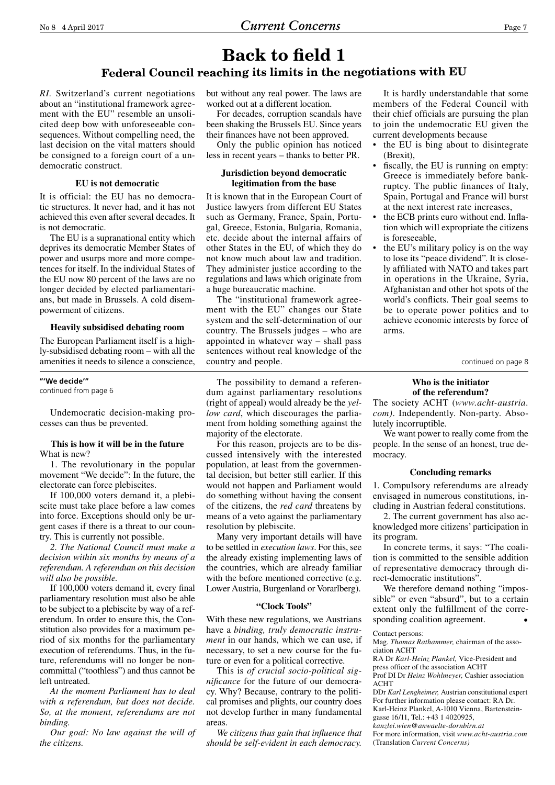### **Federal Council reaching its limits in the negotiations with EU**

*RI.* Switzerland's current negotiations about an "institutional framework agreement with the EU" resemble an unsolicited deep bow with unforeseeable consequences. Without compelling need, the last decision on the vital matters should be consigned to a foreign court of a undemocratic construct.

### **EU is not democratic**

It is official: the EU has no democratic structures. It never had, and it has not achieved this even after several decades. It is not democratic.

The EU is a supranational entity which deprives its democratic Member States of power and usurps more and more competences for itself. In the individual States of the EU now 80 percent of the laws are no longer decided by elected parliamentarians, but made in Brussels. A cold disempowerment of citizens.

### **Heavily subsidised debating room**

The European Parliament itself is a highly-subsidised debating room – with all the amenities it needs to silence a conscience,

### **"'We decide'"**

continued from page 6

Undemocratic decision-making processes can thus be prevented.

### **This is how it will be in the future** What is new?

1. The revolutionary in the popular movement "We decide": In the future, the electorate can force plebiscites.

If 100,000 voters demand it, a plebiscite must take place before a law comes into force. Exceptions should only be urgent cases if there is a threat to our country. This is currently not possible.

*2. The National Council must make a decision within six months by means of a referendum. A referendum on this decision will also be possible.*

If 100,000 voters demand it, every final parliamentary resolution must also be able to be subject to a plebiscite by way of a referendum. In order to ensure this, the Constitution also provides for a maximum period of six months for the parliamentary execution of referendums. Thus, in the future, referendums will no longer be noncommittal ("toothless") and thus cannot be left untreated.

*At the moment Parliament has to deal with a referendum, but does not decide. So, at the moment, referendums are not binding.*

*Our goal: No law against the will of the citizens.* 

but without any real power. The laws are worked out at a different location.

For decades, corruption scandals have been shaking the Brussels EU. Since years their finances have not been approved.

Only the public opinion has noticed less in recent years – thanks to better PR.

### **Jurisdiction beyond democratic legitimation from the base**

It is known that in the European Court of Justice lawyers from different EU States such as Germany, France, Spain, Portugal, Greece, Estonia, Bulgaria, Romania, etc. decide about the internal affairs of other States in the EU, of which they do not know much about law and tradition. They administer justice according to the regulations and laws which originate from a huge bureaucratic machine.

The "institutional framework agreement with the EU" changes our State system and the self-determination of our country. The Brussels judges – who are appointed in whatever way – shall pass sentences without real knowledge of the country and people.

The possibility to demand a referendum against parliamentary resolutions (right of appeal) would already be the *yellow card*, which discourages the parliament from holding something against the majority of the electorate.

For this reason, projects are to be discussed intensively with the interested population, at least from the governmental decision, but better still earlier. If this would not happen and Parliament would do something without having the consent of the citizens, the *red card* threatens by means of a veto against the parliamentary resolution by plebiscite.

Many very important details will have to be settled in *execution laws*. For this, see the already existing implementing laws of the countries, which are already familiar with the before mentioned corrective (e.g. Lower Austria, Burgenland or Vorarlberg).

### **"Clock Tools"**

With these new regulations, we Austrians have a *binding, truly democratic instrument* in our hands, which we can use, if necessary, to set a new course for the future or even for a political corrective.

This is *of crucial socio-political significance* for the future of our democracy. Why? Because, contrary to the political promises and plights, our country does not develop further in many fundamental areas.

*We citizens thus gain that influence that should be self-evident in each democracy.* 

It is hardly understandable that some members of the Federal Council with their chief officials are pursuing the plan to join the undemocratic EU given the current developments because

- the EU is bing about to disintegrate (Brexit),
- fiscally, the EU is running on empty: Greece is immediately before bankruptcy. The public finances of Italy, Spain, Portugal and France will burst at the next interest rate increases,
- the ECB prints euro without end. Inflation which will expropriate the citizens is foreseeable,
- the EU's military policy is on the way to lose its "peace dividend". It is closely affiliated with NATO and takes part in operations in the Ukraine, Syria, Afghanistan and other hot spots of the world's conflicts. Their goal seems to be to operate power politics and to achieve economic interests by force of arms.

continued on page 8

### **Who is the initiator of the referendum?**

The society ACHT (*www.acht-austria. com)*. Independently. Non-party. Absolutely incorruptible.

We want power to really come from the people. In the sense of an honest, true democracy.

### **Concluding remarks**

1. Compulsory referendums are already envisaged in numerous constitutions, including in Austrian federal constitutions.

2. The current government has also acknowledged more citizens' participation in its program.

In concrete terms, it says: "The coalition is committed to the sensible addition of representative democracy through direct-democratic institutions".

We therefore demand nothing "impossible" or even "absurd", but to a certain extent only the fulfillment of the corresponding coalition agreement.

#### Contact persons:

Mag. *Thomas Rathammer,* chairman of the association ACHT

RA Dr *Karl-Heinz Plankel,* Vice-President and press officer of the association ACHT

Prof DI Dr *Heinz Wohlmeyer,* Cashier association ACHT

DDr *Karl Lengheimer,* Austrian constitutional expert For further information please contact: RA Dr. Karl-Heinz Plankel, A-1010 Vienna, Bartensteingasse 16/11, Tel.: +43 1 4020925,

*kanzlei.wien@anwaelte-dornbirn.at* 

For more information, visit *www.acht-austria.com* (Translation *Current Concerns)*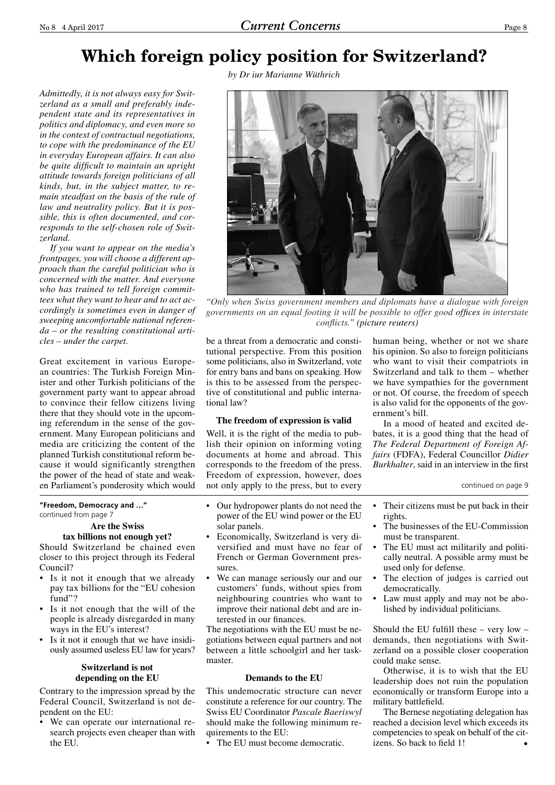# **Which foreign policy position for Switzerland?**

*by Dr iur Marianne Wüthrich* 

*Admittedly, it is not always easy for Switzerland as a small and preferably independent state and its representatives in politics and diplomacy, and even more so in the context of contractual negotiations, to cope with the predominance of the EU in everyday European affairs. It can also be quite difficult to maintain an upright attitude towards foreign politicians of all kinds, but, in the subject matter, to remain steadfast on the basis of the rule of law and neutrality policy. But it is possible, this is often documented, and corresponds to the self-chosen role of Switzerland.* 

*If you want to appear on the media's frontpages, you will choose a different approach than the careful politician who is concerned with the matter. And everyone who has trained to tell foreign committees what they want to hear and to act accordingly is sometimes even in danger of sweeping uncomfortable national referenda – or the resulting constitutional articles – under the carpet.* 

Great excitement in various European countries: The Turkish Foreign Minister and other Turkish politicians of the government party want to appear abroad to convince their fellow citizens living there that they should vote in the upcoming referendum in the sense of the government. Many European politicians and media are criticizing the content of the planned Turkish constitutional reform because it would significantly strengthen the power of the head of state and weaken Parliament's ponderosity which would

### **"Freedom, Democracy and …"** continued from page 7

### **Are the Swiss tax billions not enough yet?**

Should Switzerland be chained even closer to this project through its Federal Council?

- Is it not it enough that we already pay tax billions for the "EU cohesion fund"?
- Is it not enough that the will of the people is already disregarded in many ways in the EU's interest?
- Is it not it enough that we have insidiously assumed useless EU law for years?

### **Switzerland is not depending on the EU**

Contrary to the impression spread by the Federal Council, Switzerland is not dependent on the EU:

We can operate our international research projects even cheaper than with the EU.



*"Only when Swiss government members and diplomats have a dialogue with foreign governments on an equal footing it will be possible to offer good offices in interstate conflicts." (picture reuters)*

be a threat from a democratic and constitutional perspective. From this position some politicians, also in Switzerland, vote for entry bans and bans on speaking. How is this to be assessed from the perspective of constitutional and public international law?

### **The freedom of expression is valid**

Well, it is the right of the media to publish their opinion on informing voting documents at home and abroad. This corresponds to the freedom of the press. Freedom of expression, however, does not only apply to the press, but to every

- Our hydropower plants do not need the power of the EU wind power or the EU solar panels.
- Economically, Switzerland is very diversified and must have no fear of French or German Government pressures.
- We can manage seriously our and our customers' funds, without spies from neighbouring countries who want to improve their national debt and are interested in our finances.

The negotiations with the EU must be negotiations between equal partners and not between a little schoolgirl and her taskmaster.

### **Demands to the EU**

This undemocratic structure can never constitute a reference for our country. The Swiss EU Coordinator *Pascale Baeriswyl* should make the following minimum requirements to the EU:

• The EU must become democratic.

human being, whether or not we share his opinion. So also to foreign politicians who want to visit their compatriots in Switzerland and talk to them – whether we have sympathies for the government or not. Of course, the freedom of speech is also valid for the opponents of the government's bill.

In a mood of heated and excited debates, it is a good thing that the head of *The Federal Department of Foreign Affairs* (FDFA), Federal Councillor *Didier Burkhalter*, said in an interview in the first

continued on page 9

- Their citizens must be put back in their rights.
- • The businesses of the EU-Commission must be transparent.
- The EU must act militarily and politically neutral. A possible army must be used only for defense.
- The election of judges is carried out democratically.
- Law must apply and may not be abolished by individual politicians.

Should the EU fulfill these  $-$  very low  $$ demands, then negotiations with Switzerland on a possible closer cooperation could make sense.

Otherwise, it is to wish that the EU leadership does not ruin the population economically or transform Europe into a military battlefield.

The Bernese negotiating delegation has reached a decision level which exceeds its competencies to speak on behalf of the citizens. So back to field 1!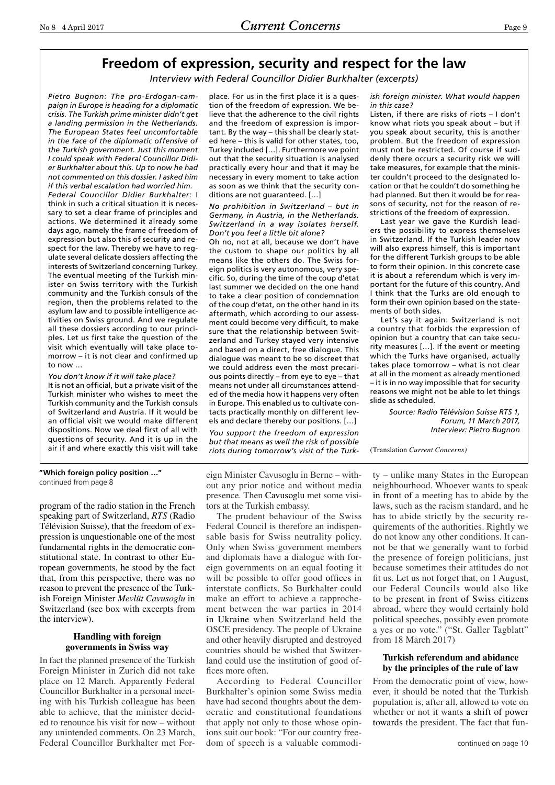### **Freedom of expression, security and respect for the law**

*Interview with Federal Councillor Didier Burkhalter (excerpts)*

*Pietro Bugnon: The pro-Erdogan-campaign in Europe is heading for a diplomatic crisis. The Turkish prime minister didn't get a landing permission in the Netherlands. The European States feel uncomfortable in the face of the diplomatic offensive of the Turkish government. Just this moment I could speak with Federal Councillor Didier Burkhalter about this. Up to now he had not commented on this dossier. I asked him if this verbal escalation had worried him.*

*Federal Councillor Didier Burkhalter:* I think in such a critical situation it is necessary to set a clear frame of principles and actions. We determined it already some days ago, namely the frame of freedom of expression but also this of security and respect for the law. Thereby we have to regulate several delicate dossiers affecting the interests of Switzerland concerning Turkey. The eventual meeting of the Turkish minister on Swiss territory with the Turkish community and the Turkish consuls of the region, then the problems related to the asylum law and to possible intelligence activities on Swiss ground. And we regulate all these dossiers according to our principles. Let us first take the question of the visit which eventually will take place tomorrow – it is not clear and confirmed up to now …

*You don't know if it will take place?* It is not an official, but a private visit of the Turkish minister who wishes to meet the Turkish community and the Turkish consuls of Switzerland and Austria. If it would be an official visit we would make different dispositions. Now we deal first of all with questions of security. And it is up in the air if and where exactly this visit will take

place. For us in the first place it is a question of the freedom of expression. We believe that the adherence to the civil rights and the freedom of expression is important. By the way – this shall be clearly stated here – this is valid for other states, too, Turkey included […]. Furthermore we point out that the security situation is analysed practically every hour and that it may be necessary in every moment to take action as soon as we think that the security conditions are not guaranteed. […]

*No prohibition in Switzerland – but in Germany, in Austria, in the Netherlands. Switzerland in a way isolates herself. Don't you feel a little bit alone?*

Oh no, not at all, because we don't have the custom to shape our politics by all means like the others do. The Swiss foreign politics is very autonomous, very specific. So, during the time of the coup d'etat last summer we decided on the one hand to take a clear position of condemnation of the coup d'etat, on the other hand in its aftermath, which according to our assessment could become very difficult, to make sure that the relationship between Switzerland and Turkey stayed very intensive and based on a direct, free dialogue. This dialogue was meant to be so discreet that we could address even the most precarious points directly – from eye to eye – that means not under all circumstances attended of the media how it happens very often in Europe. This enabled us to cultivate contacts practically monthly on different levels and declare thereby our positions. […]

*You support the freedom of expression but that means as well the risk of possible riots during tomorrow's visit of the Turk-* *ish foreign minister. What would happen in this case?*

Listen, if there are risks of riots – I don't know what riots you speak about – but if you speak about security, this is another problem. But the freedom of expression must not be restricted. Of course if suddenly there occurs a security risk we will take measures, for example that the minister couldn't proceed to the designated location or that he couldn't do something he had planned. But then it would be for reasons of security, not for the reason of restrictions of the freedom of expression.

Last year we gave the Kurdish leaders the possibility to express themselves in Switzerland. If the Turkish leader now will also express himself, this is important for the different Turkish groups to be able to form their opinion. In this concrete case it is about a referendum which is very important for the future of this country. And I think that the Turks are old enough to form their own opinion based on the statements of both sides.

Let's say it again: Switzerland is not a country that forbids the expression of opinion but a country that can take security measures […]. If the event or meeting which the Turks have organised, actually takes place tomorrow – what is not clear at all in the moment as already mentioned – it is in no way impossible that for security reasons we might not be able to let things slide as scheduled.

> *Source: Radio Télévision Suisse RTS 1, Forum, 11 March 2017, Interview: Pietro Bugnon*

(Translation *Current Concerns)*

### **"Which foreign policy position …"** continued from page 8

program of the radio station in the French speaking part of Switzerland, *RTS* (Radio Télévision Suisse), that the freedom of expression is unquestionable one of the most fundamental rights in the democratic constitutional state. In contrast to other European governments, he stood by the fact that, from this perspective, there was no reason to prevent the presence of the Turkish Foreign Minister *Mevlüt Cavusoglu* in Switzerland (see box with excerpts from the interview).

### **Handling with foreign governments in Swiss way**

In fact the planned presence of the Turkish Foreign Minister in Zurich did not take place on 12 March. Apparently Federal Councillor Burkhalter in a personal meeting with his Turkish colleague has been able to achieve, that the minister decided to renounce his visit for now – without any unintended comments. On 23 March, Federal Councillor Burkhalter met Foreign Minister Cavusoglu in Berne – without any prior notice and without media presence. Then Cavusoglu met some visitors at the Turkish embassy.

The prudent behaviour of the Swiss Federal Council is therefore an indispensable basis for Swiss neutrality policy. Only when Swiss government members and diplomats have a dialogue with foreign governments on an equal footing it will be possible to offer good offices in interstate conflicts. So Burkhalter could make an effort to achieve a rapprochement between the war parties in 2014 in Ukraine when Switzerland held the OSCE presidency. The people of Ukraine and other heavily disrupted and destroyed countries should be wished that Switzerland could use the institution of good offices more often.

According to Federal Councillor Burkhalter's opinion some Swiss media have had second thoughts about the democratic and constitutional foundations that apply not only to those whose opinions suit our book: "For our country freedom of speech is a valuable commodi-

ty – unlike many States in the European neighbourhood. Whoever wants to speak in front of a meeting has to abide by the laws, such as the racism standard, and he has to abide strictly by the security requirements of the authorities. Rightly we do not know any other conditions. It cannot be that we generally want to forbid the presence of foreign politicians, just because sometimes their attitudes do not fit us. Let us not forget that, on 1 August, our Federal Councils would also like to be present in front of Swiss citizens abroad, where they would certainly hold political speeches, possibly even promote a yes or no vote." ("St. Galler Tagblatt" from 18 March 2017)

### **Turkish referendum and abidance by the principles of the rule of law**

From the democratic point of view, however, it should be noted that the Turkish population is, after all, allowed to vote on whether or not it wants a shift of power towards the president. The fact that fun-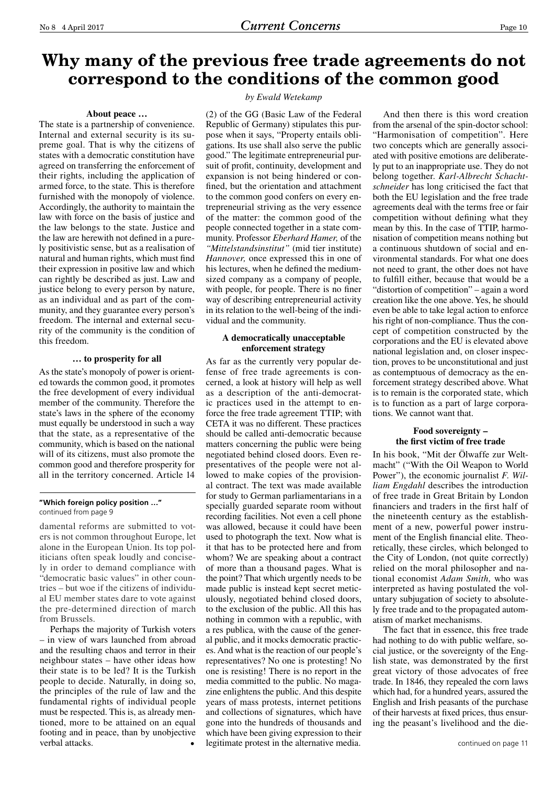### **Why many of the previous free trade agreements do not correspond to the conditions of the common good**

#### **About peace …**

The state is a partnership of convenience. Internal and external security is its supreme goal. That is why the citizens of states with a democratic constitution have agreed on transferring the enforcement of their rights, including the application of armed force, to the state. This is therefore furnished with the monopoly of violence. Accordingly, the authority to maintain the law with force on the basis of justice and the law belongs to the state. Justice and the law are herewith not defined in a purely positivistic sense, but as a realisation of natural and human rights, which must find their expression in positive law and which can rightly be described as just. Law and justice belong to every person by nature, as an individual and as part of the community, and they guarantee every person's freedom. The internal and external security of the community is the condition of this freedom.

### **… to prosperity for all**

As the state's monopoly of power is oriented towards the common good, it promotes the free development of every individual member of the community. Therefore the state's laws in the sphere of the economy must equally be understood in such a way that the state, as a representative of the community, which is based on the national will of its citizens, must also promote the common good and therefore prosperity for all in the territory concerned. Article 14

#### **"Which foreign policy position …"** continued from page 9

damental reforms are submitted to voters is not common throughout Europe, let alone in the European Union. Its top politicians often speak loudly and concisely in order to demand compliance with "democratic basic values" in other countries – but woe if the citizens of individual EU member states dare to vote against the pre-determined direction of march from Brussels.

Perhaps the majority of Turkish voters – in view of wars launched from abroad and the resulting chaos and terror in their neighbour states – have other ideas how their state is to be led? It is the Turkish people to decide. Naturally, in doing so, the principles of the rule of law and the fundamental rights of individual people must be respected. This is, as already mentioned, more to be attained on an equal footing and in peace, than by unobjective verbal attacks.

### *by Ewald Wetekamp*

(2) of the GG (Basic Law of the Federal Republic of Germany) stipulates this purpose when it says, "Property entails obligations. Its use shall also serve the public good." The legitimate entrepreneurial pursuit of profit, continuity, development and expansion is not being hindered or confined, but the orientation and attachment to the common good confers on every entrepreneurial striving as the very essence of the matter: the common good of the people connected together in a state community. Professor *Eberhard Hamer,* of the *"Mittelstandsinstitut"* (mid tier institute) *Hannover,* once expressed this in one of his lectures, when he defined the mediumsized company as a company of people, with people, for people. There is no finer way of describing entrepreneurial activity in its relation to the well-being of the individual and the community.

### **A democratically unacceptable enforcement strategy**

As far as the currently very popular defense of free trade agreements is concerned, a look at history will help as well as a description of the anti-democratic practices used in the attempt to enforce the free trade agreement TTIP; with CETA it was no different. These practices should be called anti-democratic because matters concerning the public were being negotiated behind closed doors. Even representatives of the people were not allowed to make copies of the provisional contract. The text was made available for study to German parliamentarians in a specially guarded separate room without recording facilities. Not even a cell phone was allowed, because it could have been used to photograph the text. Now what is it that has to be protected here and from whom? We are speaking about a contract of more than a thousand pages. What is the point? That which urgently needs to be made public is instead kept secret meticulously, negotiated behind closed doors, to the exclusion of the public. All this has nothing in common with a republic, with a res publica, with the cause of the general public, and it mocks democratic practices. And what is the reaction of our people's representatives? No one is protesting! No one is resisting! There is no report in the media committed to the public. No magazine enlightens the public. And this despite years of mass protests, internet petitions and collections of signatures, which have gone into the hundreds of thousands and which have been giving expression to their legitimate protest in the alternative media.

And then there is this word creation from the arsenal of the spin-doctor school: "Harmonisation of competition". Here two concepts which are generally associated with positive emotions are deliberately put to an inappropriate use. They do not belong together. *Karl-Albrecht Schachtschneider* has long criticised the fact that both the EU legislation and the free trade agreements deal with the terms free or fair competition without defining what they mean by this. In the case of TTIP, harmonisation of competition means nothing but a continuous shutdown of social and environmental standards. For what one does not need to grant, the other does not have to fulfill either, because that would be a "distortion of competition" – again a word creation like the one above. Yes, he should even be able to take legal action to enforce his right of non-compliance. Thus the concept of competition constructed by the corporations and the EU is elevated above national legislation and, on closer inspection, proves to be unconstitutional and just as contemptuous of democracy as the enforcement strategy described above. What is to remain is the corporated state, which is to function as a part of large corporations. We cannot want that.

### **Food sovereignty – the first victim of free trade**

In his book, "Mit der Ölwaffe zur Weltmacht" ("With the Oil Weapon to World Power"), the economic journalist *F. William Engdahl* describes the introduction of free trade in Great Britain by London financiers and traders in the first half of the nineteenth century as the establishment of a new, powerful power instrument of the English financial elite. Theoretically, these circles, which belonged to the City of London, (not quite correctly) relied on the moral philosopher and national economist *Adam Smith,* who was interpreted as having postulated the voluntary subjugation of society to absolutely free trade and to the propagated automatism of market mechanisms.

The fact that in essence, this free trade had nothing to do with public welfare, social justice, or the sovereignty of the English state, was demonstrated by the first great victory of those advocates of free trade. In 1846, they repealed the corn laws which had, for a hundred years, assured the English and Irish peasants of the purchase of their harvests at fixed prices, thus ensuring the peasant's livelihood and the die-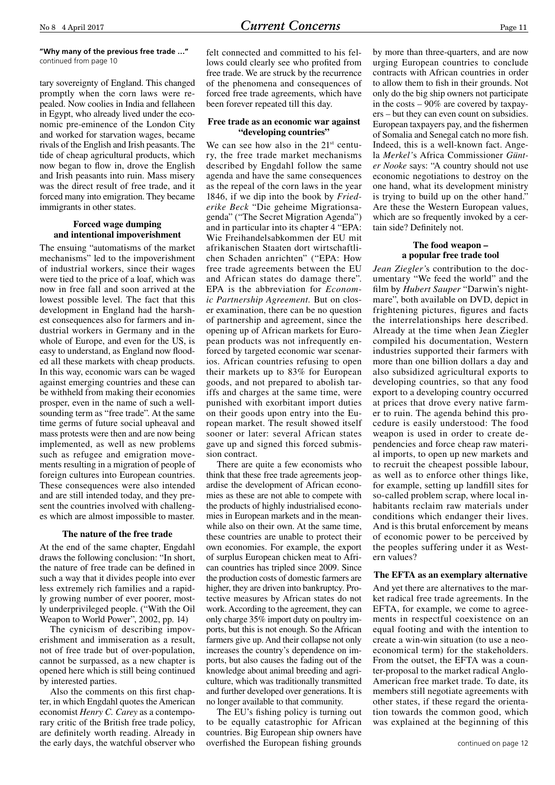### **"Why many of the previous free trade …"** continued from page 10

tary sovereignty of England. This changed promptly when the corn laws were repealed. Now coolies in India and fellaheen in Egypt, who already lived under the economic pre-eminence of the London City and worked for starvation wages, became rivals of the English and Irish peasants. The tide of cheap agricultural products, which now began to flow in, drove the English and Irish peasants into ruin. Mass misery was the direct result of free trade, and it forced many into emigration. They became immigrants in other states.

### **Forced wage dumping and intentional impoverishment**

The ensuing "automatisms of the market mechanisms" led to the impoverishment of industrial workers, since their wages were tied to the price of a loaf, which was now in free fall and soon arrived at the lowest possible level. The fact that this development in England had the harshest consequences also for farmers and industrial workers in Germany and in the whole of Europe, and even for the US, is easy to understand, as England now flooded all these markets with cheap products. In this way, economic wars can be waged against emerging countries and these can be withheld from making their economies prosper, even in the name of such a wellsounding term as "free trade". At the same time germs of future social upheaval and mass protests were then and are now being implemented, as well as new problems such as refugee and emigration movements resulting in a migration of people of foreign cultures into European countries. These consequences were also intended and are still intended today, and they present the countries involved with challenges which are almost impossible to master.

### **The nature of the free trade**

At the end of the same chapter, Engdahl draws the following conclusion: "In short, the nature of free trade can be defined in such a way that it divides people into ever less extremely rich families and a rapidly growing number of ever poorer, mostly underprivileged people. ("With the Oil Weapon to World Power", 2002, pp. 14)

The cynicism of describing impoverishment and immiseration as a result, not of free trade but of over-population, cannot be surpassed, as a new chapter is opened here which is still being continued by interested parties.

Also the comments on this first chapter, in which Engdahl quotes the American economist *Henry C. Carey* as a contemporary critic of the British free trade policy, are definitely worth reading. Already in the early days, the watchful observer who felt connected and committed to his fellows could clearly see who profited from free trade. We are struck by the recurrence of the phenomena and consequences of forced free trade agreements, which have been forever repeated till this day.

### **Free trade as an economic war against "developing countries"**

We can see how also in the  $21<sup>st</sup>$  century, the free trade market mechanisms described by Engdahl follow the same agenda and have the same consequences as the repeal of the corn laws in the year 1846, if we dip into the book by *Friederike Beck* "Die geheime Migrationsagenda" ("The Secret Migration Agenda") and in particular into its chapter 4 "EPA: Wie Freihandelsabkommen der EU mit afrikanischen Staaten dort wirtschaftlichen Schaden anrichten" ("EPA: How free trade agreements between the EU and African states do damage there". EPA is the abbreviation for *Economic Partnership Agreement.* But on closer examination, there can be no question of partnership and agreement, since the opening up of African markets for European products was not infrequently enforced by targeted economic war scenarios. African countries refusing to open their markets up to 83% for European goods, and not prepared to abolish tariffs and charges at the same time, were punished with exorbitant import duties on their goods upon entry into the European market. The result showed itself sooner or later: several African states gave up and signed this forced submission contract.

There are quite a few economists who think that these free trade agreements jeopardise the development of African economies as these are not able to compete with the products of highly industrialised economies in European markets and in the meanwhile also on their own. At the same time, these countries are unable to protect their own economies. For example, the export of surplus European chicken meat to African countries has tripled since 2009. Since the production costs of domestic farmers are higher, they are driven into bankruptcy. Protective measures by African states do not work. According to the agreement, they can only charge 35% import duty on poultry imports, but this is not enough. So the African farmers give up. And their collapse not only increases the country's dependence on imports, but also causes the fading out of the knowledge about animal breeding and agriculture, which was traditionally transmitted and further developed over generations. It is no longer available to that community.

The EU's fishing policy is turning out to be equally catastrophic for African countries. Big European ship owners have overfished the European fishing grounds

by more than three-quarters, and are now urging European countries to conclude contracts with African countries in order to allow them to fish in their grounds. Not only do the big ship owners not participate in the costs – 90% are covered by taxpayers – but they can even count on subsidies. European taxpayers pay, and the fishermen of Somalia and Senegal catch no more fish. Indeed, this is a well-known fact. Angela *Merkel'*s Africa Commissioner *Günter Nooke* says: "A country should not use economic negotiations to destroy on the one hand, what its development ministry is trying to build up on the other hand." Are these the Western European values, which are so frequently invoked by a certain side? Definitely not.

### **The food weapon – a popular free trade tool**

*Jean Ziegler'*s contribution to the documentary "We feed the world" and the film by *Hubert Sauper* "Darwin's nightmare", both available on DVD, depict in frightening pictures, figures and facts the interrelationships here described. Already at the time when Jean Ziegler compiled his documentation, Western industries supported their farmers with more than one billion dollars a day and also subsidized agricultural exports to developing countries, so that any food export to a developing country occurred at prices that drove every native farmer to ruin. The agenda behind this procedure is easily understood: The food weapon is used in order to create dependencies and force cheap raw material imports, to open up new markets and to recruit the cheapest possible labour, as well as to enforce other things like, for example, setting up landfill sites for so-called problem scrap, where local inhabitants reclaim raw materials under conditions which endanger their lives. And is this brutal enforcement by means of economic power to be perceived by the peoples suffering under it as Western values?

### **The EFTA as an exemplary alternative**

And yet there are alternatives to the market radical free trade agreements. In the EFTA, for example, we come to agreements in respectful coexistence on an equal footing and with the intention to create a win-win situation (to use a neoeconomical term) for the stakeholders. From the outset, the EFTA was a counter-proposal to the market radical Anglo-American free market trade. To date, its members still negotiate agreements with other states, if these regard the orientation towards the common good, which was explained at the beginning of this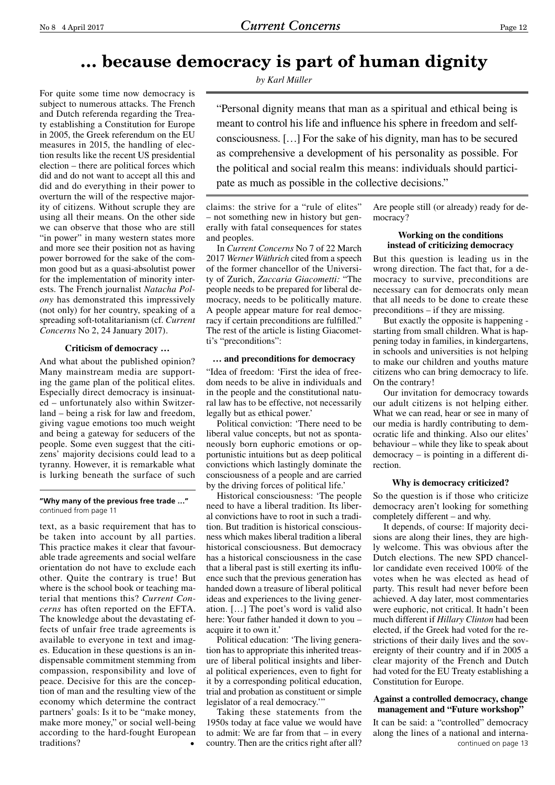### **… because democracy is part of human dignity**

*by Karl Müller*

For quite some time now democracy is subject to numerous attacks. The French and Dutch referenda regarding the Treaty establishing a Constitution for Europe in 2005, the Greek referendum on the EU measures in 2015, the handling of election results like the recent US presidential election – there are political forces which did and do not want to accept all this and did and do everything in their power to overturn the will of the respective majority of citizens. Without scruple they are using all their means. On the other side we can observe that those who are still "in power" in many western states more and more see their position not as having power borrowed for the sake of the common good but as a quasi-absolutist power for the implementation of minority interests. The French journalist *Natacha Polony* has demonstrated this impressively (not only) for her country, speaking of a spreading soft-totalitarianism (cf. *Current Concerns* No 2, 24 January 2017).

### **Criticism of democracy …**

And what about the published opinion? Many mainstream media are supporting the game plan of the political elites. Especially direct democracy is insinuated – unfortunately also within Switzerland – being a risk for law and freedom, giving vague emotions too much weight and being a gateway for seducers of the people. Some even suggest that the citizens' majority decisions could lead to a tyranny. However, it is remarkable what is lurking beneath the surface of such

### **"Why many of the previous free trade …"** continued from page 11

text, as a basic requirement that has to be taken into account by all parties. This practice makes it clear that favourable trade agreements and social welfare orientation do not have to exclude each other. Quite the contrary is true! But where is the school book or teaching material that mentions this? *Current Concerns* has often reported on the EFTA. The knowledge about the devastating effects of unfair free trade agreements is available to everyone in text and images. Education in these questions is an indispensable commitment stemming from compassion, responsibility and love of peace. Decisive for this are the conception of man and the resulting view of the economy which determine the contract partners' goals: Is it to be "make money, make more money," or social well-being according to the hard-fought European traditions?

"Personal dignity means that man as a spiritual and ethical being is meant to control his life and influence his sphere in freedom and selfconsciousness. […] For the sake of his dignity, man has to be secured as comprehensive a development of his personality as possible. For the political and social realm this means: individuals should participate as much as possible in the collective decisions."

claims: the strive for a "rule of elites" – not something new in history but generally with fatal consequences for states and peoples.

In *Current Concerns* No 7 of 22 March 2017 *Werner Wüthrich* cited from a speech of the former chancellor of the University of Zurich, *Zaccaria Giacometti:* "The people needs to be prepared for liberal democracy, needs to be politically mature. A people appear mature for real democracy if certain preconditions are fulfilled." The rest of the article is listing Giacometti's "preconditions":

### **… and preconditions for democracy**

"Idea of freedom: 'First the idea of freedom needs to be alive in individuals and in the people and the constitutional natural law has to be effective, not necessarily legally but as ethical power.'

Political conviction: 'There need to be liberal value concepts, but not as spontaneously born euphoric emotions or opportunistic intuitions but as deep political convictions which lastingly dominate the consciousness of a people and are carried by the driving forces of political life.'

Historical consciousness: 'The people need to have a liberal tradition. Its liberal convictions have to root in such a tradition. But tradition is historical consciousness which makes liberal tradition a liberal historical consciousness. But democracy has a historical consciousness in the case that a liberal past is still exerting its influence such that the previous generation has handed down a treasure of liberal political ideas and experiences to the living generation. […] The poet's word is valid also here: Your father handed it down to you – acquire it to own it.'

Political education: 'The living generation has to appropriate this inherited treasure of liberal political insights and liberal political experiences, even to fight for it by a corresponding political education, trial and probation as constituent or simple legislator of a real democracy."

Taking these statements from the 1950s today at face value we would have to admit: We are far from that – in every country. Then are the critics right after all?

Are people still (or already) ready for democracy?

### **Working on the conditions instead of criticizing democracy**

But this question is leading us in the wrong direction. The fact that, for a democracy to survive, preconditions are necessary can for democrats only mean that all needs to be done to create these preconditions – if they are missing.

But exactly the opposite is happening starting from small children. What is happening today in families, in kindergartens, in schools and universities is not helping to make our children and youths mature citizens who can bring democracy to life. On the contrary!

Our invitation for democracy towards our adult citizens is not helping either. What we can read, hear or see in many of our media is hardly contributing to democratic life and thinking. Also our elites' behaviour – while they like to speak about democracy – is pointing in a different direction.

### **Why is democracy criticized?**

So the question is if those who criticize democracy aren't looking for something completely different – and why.

It depends, of course: If majority decisions are along their lines, they are highly welcome. This was obvious after the Dutch elections. The new SPD chancellor candidate even received 100% of the votes when he was elected as head of party. This result had never before been achieved. A day later, most commentaries were euphoric, not critical. It hadn't been much different if *Hillary Clinton* had been elected, if the Greek had voted for the restrictions of their daily lives and the sovereignty of their country and if in 2005 a clear majority of the French and Dutch had voted for the EU Treaty establishing a Constitution for Europe.

### **Against a controlled democracy, change management and "Future workshop"**

It can be said: a "controlled" democracy along the lines of a national and internacontinued on page 13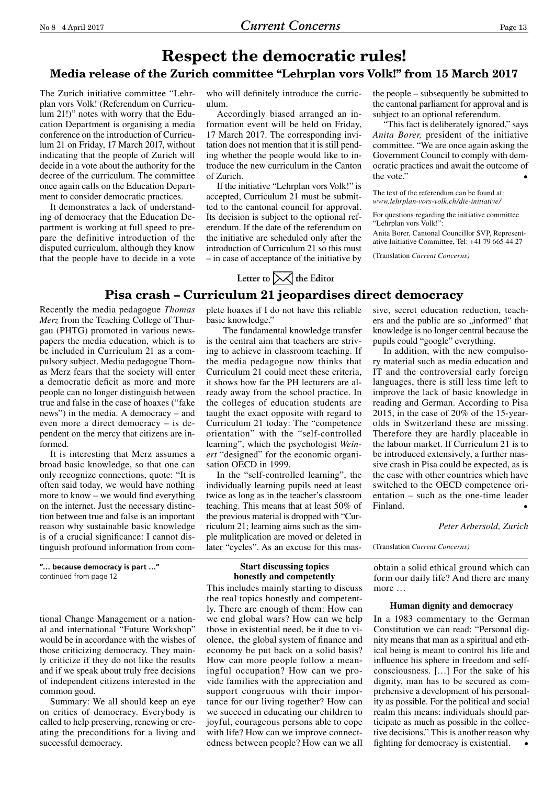### **Respect the democratic rules! Media release of the Zurich committee "Lehrplan vors Volk!" from 15 March 2017**

The Zurich initiative committee "Lehrplan vors Volk! (Referendum on Curriculum 21!)" notes with worry that the Education Department is organising a media conference on the introduction of Curriculum 21 on Friday, 17 March 2017, without indicating that the people of Zurich will decide in a vote about the authority for the decree of the curriculum. The committee once again calls on the Education Department to consider democratic practices.

It demonstrates a lack of understanding of democracy that the Education Department is working at full speed to prepare the definitive introduction of the disputed curriculum, although they know that the people have to decide in a vote who will definitely introduce the curriculum.

Accordingly biased arranged an information event will be held on Friday, 17 March 2017. The corresponding invitation does not mention that it is still pending whether the people would like to introduce the new curriculum in the Canton of Zurich.

If the initiative "Lehrplan vors Volk!" is accepted, Curriculum 21 must be submitted to the cantonal council for approval. Its decision is subject to the optional referendum. If the date of the referendum on the initiative are scheduled only after the introduction of Curriculum 21 so this must – in case of acceptance of the initiative by the people – subsequently be submitted to the cantonal parliament for approval and is subject to an optional referendum.

"This fact is deliberately ignored," says *Anita Borer,* president of the initiative committee. "We are once again asking the Government Council to comply with democratic practices and await the outcome of the vote."

The text of the referendum can be found at: *www.lehrplan-vors-volk.ch/die-initiative/*

For questions regarding the initiative committee "Lehrplan vors Volk!":

Anita Borer, Cantonal Councillor SVP, Representative Initiative Committee, Tel: +41 79 665 44 27

(Translation *Current Concerns)*

# Letter to  $\triangleright\!\!\!\!\triangleleft$  the Editor

**Pisa crash – Curriculum 21 jeopardises direct democracy**

Recently the media pedagogue *Thomas Merz* from the Teaching College of Thurgau (PHTG) promoted in various newspapers the media education, which is to be included in Curriculum 21 as a compulsory subject. Media pedagogue Thomas Merz fears that the society will enter a democratic deficit as more and more people can no longer distinguish between true and false in the case of hoaxes ("fake news") in the media. A democracy – and even more a direct democracy – is dependent on the mercy that citizens are informed.

It is interesting that Merz assumes a broad basic knowledge, so that one can only recognize connections, quote: "It is often said today, we would have nothing more to know – we would find everything on the internet. Just the necessary distinction between true and false is an important reason why sustainable basic knowledge is of a crucial significance: I cannot distinguish profound information from com-

**"… because democracy is part …"** continued from page 12

tional Change Management or a national and international "Future Workshop" would be in accordance with the wishes of those criticizing democracy. They mainly criticize if they do not like the results and if we speak about truly free decisions of independent citizens interested in the common good.

Summary: We all should keep an eye on critics of democracy. Everybody is called to help preserving, renewing or creating the preconditions for a living and successful democracy.

plete hoaxes if I do not have this reliable basic knowledge."

 The fundamental knowledge transfer is the central aim that teachers are striving to achieve in classroom teaching. If the media pedagogue now thinks that Curriculum 21 could meet these criteria, it shows how far the PH lecturers are already away from the school practice. In the colleges of education students are taught the exact opposite with regard to Curriculum 21 today: The "competence orientation" with the "self-controlled learning", which the psychologist *Weinert* "designed" for the economic organisation OECD in 1999.

In the "self-controlled learning", the individually learning pupils need at least twice as long as in the teacher's classroom teaching. This means that at least 50% of the previous material is dropped with "Curriculum 21; learning aims such as the simple mulitplication are moved or deleted in later "cycles". As an excuse for this mas-

### **Start discussing topics honestly and competently**

This includes mainly starting to discuss the real topics honestly and competently. There are enough of them: How can we end global wars? How can we help those in existential need, be it due to violence, the global system of finance and economy be put back on a solid basis? How can more people follow a meaningful occupation? How can we provide families with the appreciation and support congruous with their importance for our living together? How can we succeed in educating our children to joyful, courageous persons able to cope with life? How can we improve connectedness between people? How can we all sive, secret education reduction, teachers and the public are so "informed" that knowledge is no longer central because the pupils could "google" everything.

In addition, with the new compulsory material such as media education and IT and the controversial early foreign languages, there is still less time left to improve the lack of basic knowledge in reading and German. According to Pisa 2015, in the case of 20% of the 15-yearolds in Switzerland these are missing. Therefore they are hardly placeable in the labour market. If Curriculum 21 is to be introduced extensively, a further massive crash in Pisa could be expected, as is the case with other countries which have switched to the OECD competence orientation – such as the one-time leader Finland.

*Peter Arbersold, Zurich*

(Translation *Current Concerns)*

obtain a solid ethical ground which can form our daily life? And there are many more …

### **Human dignity and democracy**

In a 1983 commentary to the German Constitution we can read: "Personal dignity means that man as a spiritual and ethical being is meant to control his life and influence his sphere in freedom and selfconsciousness. […] For the sake of his dignity, man has to be secured as comprehensive a development of his personality as possible. For the political and social realm this means: individuals should participate as much as possible in the collective decisions." This is another reason why fighting for democracy is existential. •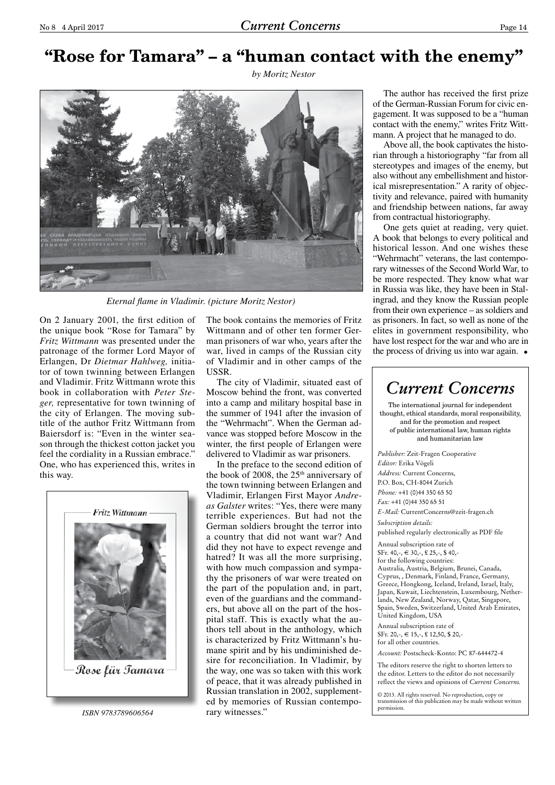# **"Rose for Tamara" – a "human contact with the enemy"**

*by Moritz Nestor*



*Eternal flame in Vladimir. (picture Moritz Nestor)*

On 2 January 2001, the first edition of the unique book "Rose for Tamara" by *Fritz Wittmann* was presented under the patronage of the former Lord Mayor of Erlangen, Dr *Dietmar Hahlweg,* initiator of town twinning between Erlangen and Vladimir. Fritz Wittmann wrote this book in collaboration with *Peter Steger,* representative for town twinning of the city of Erlangen. The moving subtitle of the author Fritz Wittmann from Baiersdorf is: "Even in the winter season through the thickest cotton jacket you feel the cordiality in a Russian embrace." One, who has experienced this, writes in this way.



*ISBN 9783789606564*

The book contains the memories of Fritz Wittmann and of other ten former German prisoners of war who, years after the war, lived in camps of the Russian city of Vladimir and in other camps of the USSR.

The city of Vladimir, situated east of Moscow behind the front, was converted into a camp and military hospital base in the summer of 1941 after the invasion of the "Wehrmacht". When the German advance was stopped before Moscow in the winter, the first people of Erlangen were delivered to Vladimir as war prisoners.

In the preface to the second edition of the book of 2008, the  $25<sup>th</sup>$  anniversary of the town twinning between Erlangen and Vladimir, Erlangen First Mayor *Andreas Galster* writes: "Yes, there were many terrible experiences. But had not the German soldiers brought the terror into a country that did not want war? And did they not have to expect revenge and hatred? It was all the more surprising, with how much compassion and sympathy the prisoners of war were treated on the part of the population and, in part, even of the guardians and the commanders, but above all on the part of the hospital staff. This is exactly what the authors tell about in the anthology, which is characterized by Fritz Wittmann's humane spirit and by his undiminished desire for reconciliation. In Vladimir, by the way, one was so taken with this work of peace, that it was already published in Russian translation in 2002, supplemented by memories of Russian contemporary witnesses."

The author has received the first prize of the German-Russian Forum for civic engagement. It was supposed to be a "human contact with the enemy," writes Fritz Wittmann. A project that he managed to do.

Above all, the book captivates the historian through a historiography "far from all stereotypes and images of the enemy, but also without any embellishment and historical misrepresentation." A rarity of objectivity and relevance, paired with humanity and friendship between nations, far away from contractual historiography.

One gets quiet at reading, very quiet. A book that belongs to every political and historical lesson. And one wishes these "Wehrmacht" veterans, the last contemporary witnesses of the Second World War, to be more respected. They know what war in Russia was like, they have been in Stalingrad, and they know the Russian people from their own experience – as soldiers and as prisoners. In fact, so well as none of the elites in government responsibility, who have lost respect for the war and who are in the process of driving us into war again. •